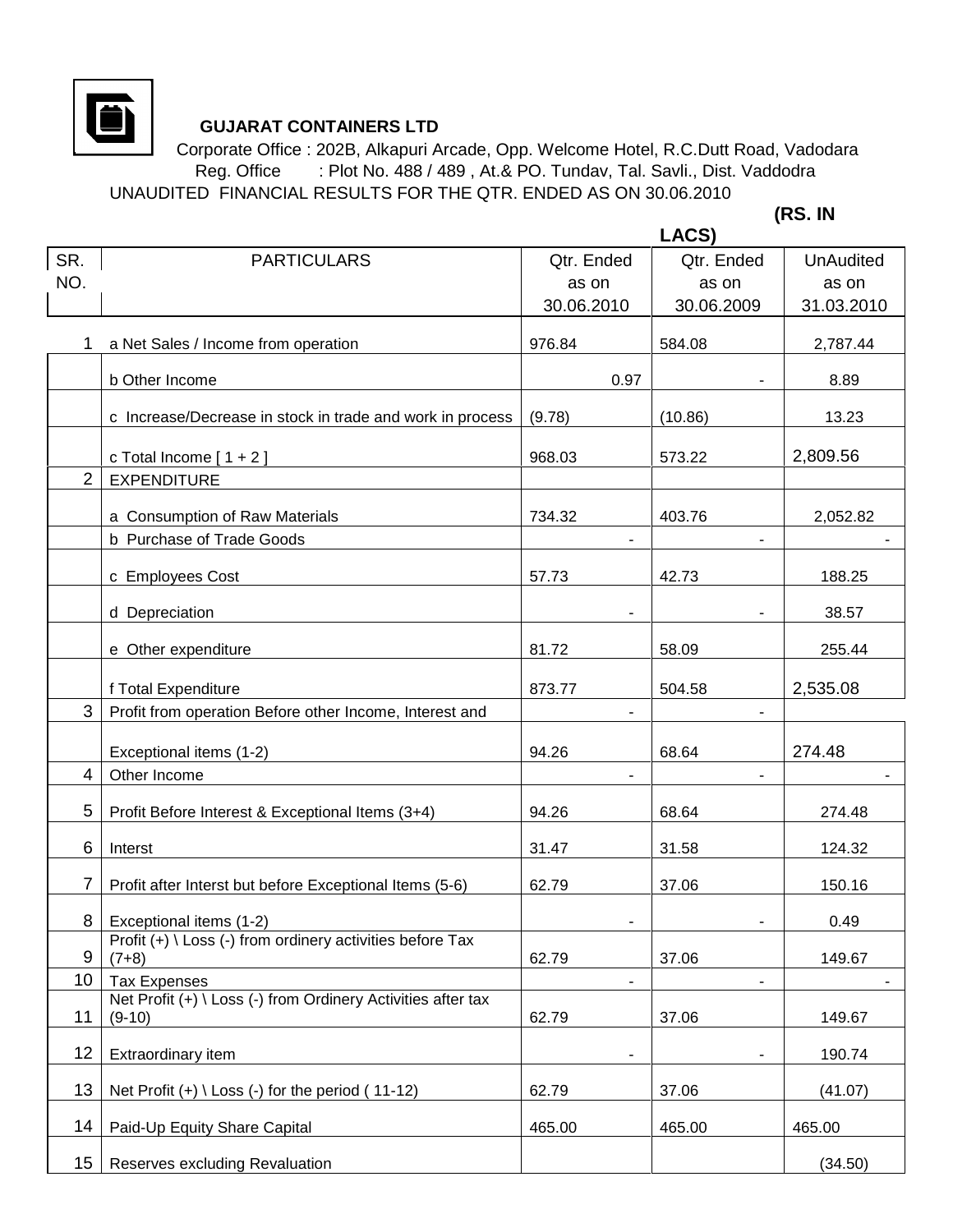

## **GUJARAT CONTAINERS LTD**

 Corporate Office : 202B, Alkapuri Arcade, Opp. Welcome Hotel, R.C.Dutt Road, Vadodara Reg. Office : Plot No. 488 / 489, At.& PO. Tundav, Tal. Savli., Dist. Vaddodra UNAUDITED FINANCIAL RESULTS FOR THE QTR. ENDED AS ON 30.06.2010

 **(RS. IN** 

|                |                                                                          |                          | LACS)                    |                  |
|----------------|--------------------------------------------------------------------------|--------------------------|--------------------------|------------------|
| SR.            | <b>PARTICULARS</b>                                                       | Qtr. Ended               | Qtr. Ended               | <b>UnAudited</b> |
| NO.            |                                                                          | as on                    | as on                    | as on            |
|                |                                                                          | 30.06.2010               | 30.06.2009               | 31.03.2010       |
|                | a Net Sales / Income from operation                                      | 976.84                   | 584.08                   | 2,787.44         |
|                | b Other Income                                                           | 0.97                     |                          | 8.89             |
|                | c Increase/Decrease in stock in trade and work in process                | (9.78)                   | (10.86)                  | 13.23            |
|                | c Total Income $[1 + 2]$                                                 | 968.03                   | 573.22                   | 2,809.56         |
| $\overline{2}$ | <b>EXPENDITURE</b>                                                       |                          |                          |                  |
|                | a Consumption of Raw Materials                                           | 734.32                   | 403.76                   | 2,052.82         |
|                | b Purchase of Trade Goods                                                |                          |                          |                  |
|                | c Employees Cost                                                         | 57.73                    | 42.73                    | 188.25           |
|                | d Depreciation                                                           |                          |                          | 38.57            |
|                | e Other expenditure                                                      | 81.72                    | 58.09                    | 255.44           |
|                | f Total Expenditure                                                      | 873.77                   | 504.58                   | 2,535.08         |
| 3              | Profit from operation Before other Income, Interest and                  |                          |                          |                  |
|                | Exceptional items (1-2)                                                  | 94.26                    | 68.64                    | 274.48           |
| 4              | Other Income                                                             | $\overline{\phantom{a}}$ | $\blacksquare$           |                  |
| 5              | Profit Before Interest & Exceptional Items (3+4)                         | 94.26                    | 68.64                    | 274.48           |
| 6              | Interst                                                                  | 31.47                    | 31.58                    | 124.32           |
| 7              | Profit after Interst but before Exceptional Items (5-6)                  | 62.79                    | 37.06                    | 150.16           |
| 8              | Exceptional items (1-2)                                                  | -                        |                          | 0.49             |
| 9              | Profit (+) \ Loss (-) from ordinery activities before Tax<br>$(7+8)$     | 62.79                    | 37.06                    | 149.67           |
| 10             | <b>Tax Expenses</b>                                                      | -                        | $\overline{\phantom{0}}$ |                  |
| 11             | Net Profit (+) \ Loss (-) from Ordinery Activities after tax<br>$(9-10)$ | 62.79                    | 37.06                    | 149.67           |
| 12             | Extraordinary item                                                       | ۰                        |                          | 190.74           |
| 13             | Net Profit $(+) \setminus$ Loss $(-)$ for the period $(11-12)$           | 62.79                    | 37.06                    | (41.07)          |
| 14             | Paid-Up Equity Share Capital                                             | 465.00                   | 465.00                   | 465.00           |
| 15             | Reserves excluding Revaluation                                           |                          |                          | (34.50)          |